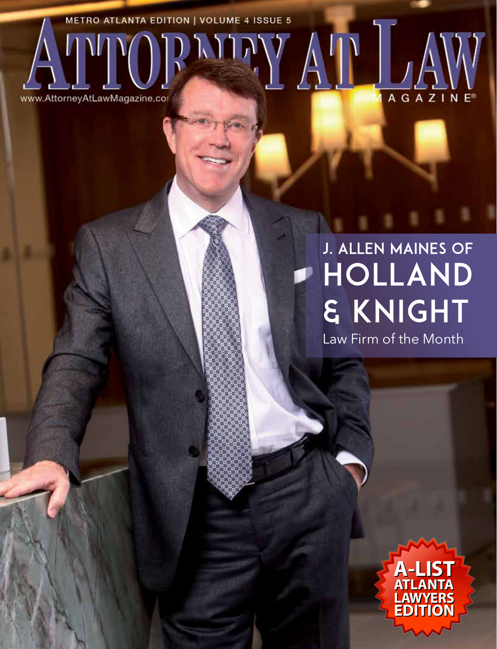**METRO ATLANTA EDITION | VOLUME 4 ISSUE 5** LAND,

www.AttorneyAtLawMagazine.com

## HOLLAND & KNIGHT J. Allen Maines of

AGAZI

N

Law Firm of the Month

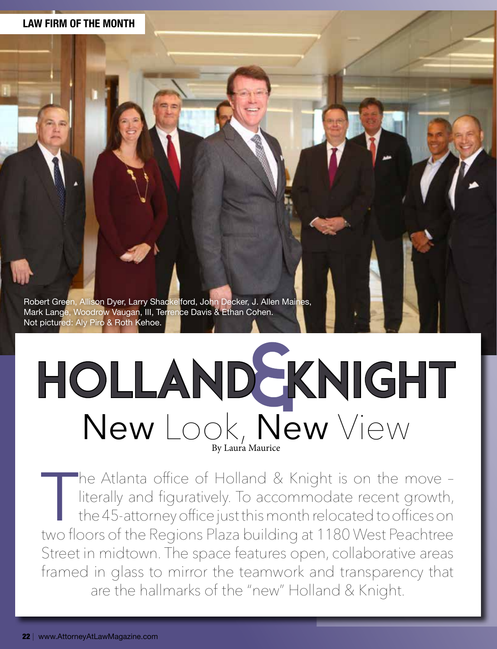#### **LAW FIRM OF THE MONTH**

Robert Green, Allison Dyer, Larry Shackelford, John Decker, J. Allen Maines, Mark Lange, Woodrow Vaugan, III, Terrence Davis & Ethan Cohen. Not pictured: Aly Piro & Roth Kehoe.

# HOLLAND SKNIGHT New Look, New View

The Atlanta office of Holland & Knight is on the move –<br>literally and figuratively. To accommodate recent growth,<br>the 45-attorney office just this month relocated to offices on<br>two floors of the Regions Plaza building at 1 literally and figuratively. To accommodate recent growth, the 45-attorney office just this month relocated to offices on two floors of the Regions Plaza building at 1180 West Peachtree Street in midtown. The space features open, collaborative areas framed in glass to mirror the teamwork and transparency that are the hallmarks of the "new" Holland & Knight.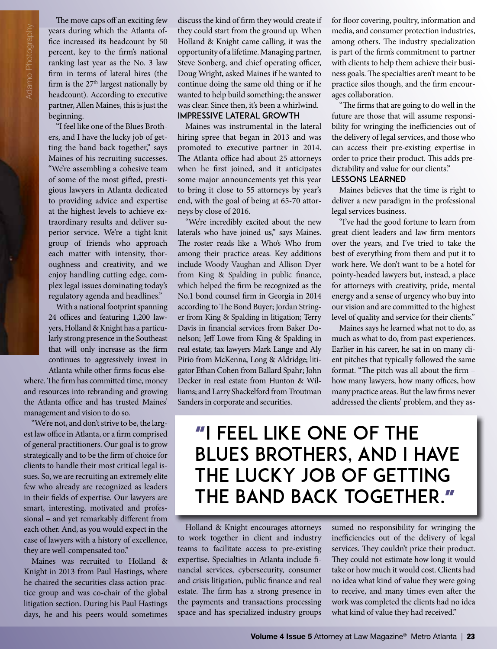The move caps off an exciting few years during which the Atlanta office increased its headcount by 50 percent, key to the firm's national ranking last year as the No. 3 law firm in terms of lateral hires (the firm is the  $27<sup>th</sup>$  largest nationally by headcount). According to executive partner, Allen Maines, this is just the beginning.

"I feel like one of the Blues Brothers, and I have the lucky job of getting the band back together," says Maines of his recruiting successes. "We're assembling a cohesive team of some of the most gifted, prestigious lawyers in Atlanta dedicated to providing advice and expertise at the highest levels to achieve extraordinary results and deliver superior service. We're a tight-knit group of friends who approach each matter with intensity, thoroughness and creativity, and we enjoy handling cutting edge, complex legal issues dominating today's regulatory agenda and headlines."

With a national footprint spanning 24 offices and featuring 1,200 lawyers, Holland & Knight has a particularly strong presence in the Southeast that will only increase as the firm continues to aggressively invest in Atlanta while other firms focus elsewhere. The firm has committed time, money and resources into rebranding and growing the Atlanta office and has trusted Maines' management and vision to do so.

"We're not, and don't strive to be, the largest law office in Atlanta, or a firm comprised of general practitioners. Our goal is to grow strategically and to be the firm of choice for clients to handle their most critical legal issues. So, we are recruiting an extremely elite few who already are recognized as leaders in their fields of expertise. Our lawyers are smart, interesting, motivated and professional – and yet remarkably different from each other. And, as you would expect in the case of lawyers with a history of excellence, they are well-compensated too."

Maines was recruited to Holland & Knight in 2013 from Paul Hastings, where he chaired the securities class action practice group and was co-chair of the global litigation section. During his Paul Hastings days, he and his peers would sometimes discuss the kind of firm they would create if they could start from the ground up. When Holland & Knight came calling, it was the opportunity of a lifetime. Managing partner, Steve Sonberg, and chief operating officer, Doug Wright, asked Maines if he wanted to continue doing the same old thing or if he wanted to help build something; the answer was clear. Since then, it's been a whirlwind.

#### Impressive Lateral Growth

Maines was instrumental in the lateral hiring spree that began in 2013 and was promoted to executive partner in 2014. The Atlanta office had about 25 attorneys when he first joined, and it anticipates some major announcements yet this year to bring it close to 55 attorneys by year's end, with the goal of being at 65-70 attorneys by close of 2016.

"We're incredibly excited about the new laterals who have joined us," says Maines. The roster reads like a Who's Who from among their practice areas. Key additions include Woody Vaughan and Allison Dyer from King & Spalding in public finance, which helped the firm be recognized as the No.1 bond counsel firm in Georgia in 2014 according to The Bond Buyer; Jordan Stringer from King & Spalding in litigation; Terry Davis in financial services from Baker Donelson; Jeff Lowe from King & Spalding in real estate; tax lawyers Mark Lange and Aly Pirio from McKenna, Long & Aldridge; litigator Ethan Cohen from Ballard Spahr; John Decker in real estate from Hunton & Williams; and Larry Shackelford from Troutman Sanders in corporate and securities.

for floor covering, poultry, information and media, and consumer protection industries, among others. The industry specialization is part of the firm's commitment to partner with clients to help them achieve their business goals. The specialties aren't meant to be practice silos though, and the firm encourages collaboration.

"The firms that are going to do well in the future are those that will assume responsibility for wringing the inefficiencies out of the delivery of legal services, and those who can access their pre-existing expertise in order to price their product. This adds predictability and value for our clients."

#### Lessons Learned

Maines believes that the time is right to deliver a new paradigm in the professional legal services business.

"I've had the good fortune to learn from great client leaders and law firm mentors over the years, and I've tried to take the best of everything from them and put it to work here. We don't want to be a hotel for pointy-headed lawyers but, instead, a place for attorneys with creativity, pride, mental energy and a sense of urgency who buy into our vision and are committed to the highest level of quality and service for their clients."

Maines says he learned what not to do, as much as what to do, from past experiences. Earlier in his career, he sat in on many client pitches that typically followed the same format. "The pitch was all about the firm – how many lawyers, how many offices, how many practice areas. But the law firms never addressed the clients' problem, and they as-

### "I feel like one of the Blues Brothers, and I have the lucky job of getting the band back together."

Holland & Knight encourages attorneys to work together in client and industry teams to facilitate access to pre-existing expertise. Specialties in Atlanta include financial services, cybersecurity, consumer and crisis litigation, public finance and real estate. The firm has a strong presence in the payments and transactions processing space and has specialized industry groups sumed no responsibility for wringing the inefficiencies out of the delivery of legal services. They couldn't price their product. They could not estimate how long it would take or how much it would cost. Clients had no idea what kind of value they were going to receive, and many times even after the work was completed the clients had no idea what kind of value they had received."